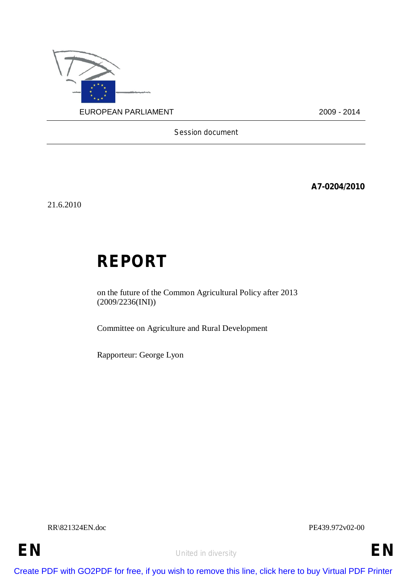

*Session document*

**A7-0204/2010**

21.6.2010

# **REPORT**

on the future of the Common Agricultural Policy after 2013 (2009/2236(INI))

Committee on Agriculture and Rural Development

Rapporteur: George Lyon

RR\821324EN.doc PE439.972v02-00

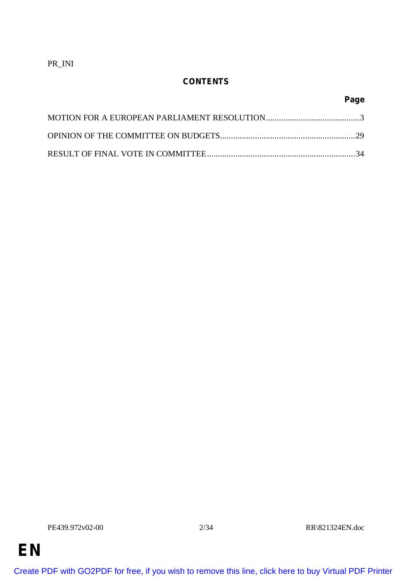PR\_INI

# **CONTENTS**

| Page |
|------|
|      |
|      |
|      |

**EN**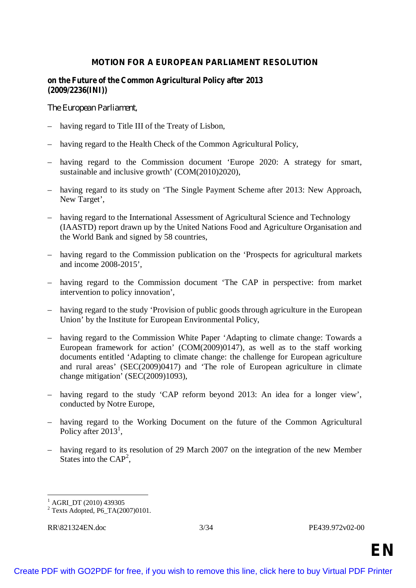# **MOTION FOR A EUROPEAN PARLIAMENT RESOLUTION**

#### **on the Future of the Common Agricultural Policy after 2013 (2009/2236(INI))**

#### *The European Parliament,*

- having regard to Title III of the Treaty of Lisbon,
- having regard to the Health Check of the Common Agricultural Policy,
- having regard to the Commission document 'Europe 2020: A strategy for smart, sustainable and inclusive growth' (COM(2010)2020),
- having regard to its study on 'The Single Payment Scheme after 2013: New Approach, New Target',
- having regard to the International Assessment of Agricultural Science and Technology (IAASTD) report drawn up by the United Nations Food and Agriculture Organisation and the World Bank and signed by 58 countries,
- having regard to the Commission publication on the 'Prospects for agricultural markets and income 2008-2015',
- having regard to the Commission document 'The CAP in perspective: from market intervention to policy innovation',
- having regard to the study 'Provision of public goods through agriculture in the European Union' by the Institute for European Environmental Policy,
- having regard to the Commission White Paper 'Adapting to climate change: Towards a European framework for action' (COM(2009)0147), as well as to the staff working documents entitled 'Adapting to climate change: the challenge for European agriculture and rural areas' (SEC(2009)0417) and 'The role of European agriculture in climate change mitigation' (SEC(2009)1093),
- having regard to the study 'CAP reform beyond 2013: An idea for a longer view', conducted by Notre Europe,
- having regard to the Working Document on the future of the Common Agricultural Policy after 2013<sup>1</sup>,
- having regard to its resolution of 29 March 2007 on the integration of the new Member States into the  $CAP<sup>2</sup>$ ,

RR\821324EN.doc 3/34 PE439.972v02-00

<sup>1</sup> AGRI\_DT (2010) 439305

 $2$  Texts Adopted, P6 TA(2007)0101.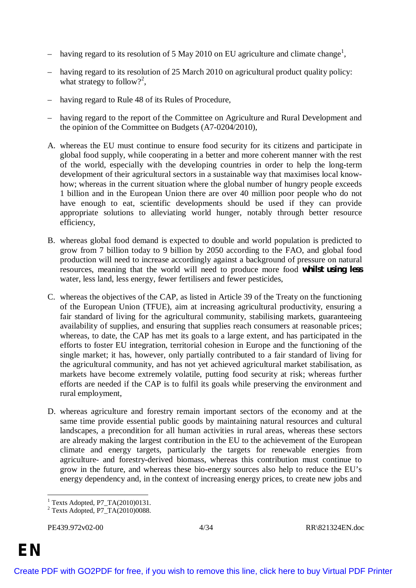- having regard to its resolution of 5 May 2010 on EU agriculture and climate change<sup>1</sup>,
- having regard to its resolution of 25 March 2010 on agricultural product quality policy: what strategy to follow?<sup>2</sup>,
- having regard to Rule 48 of its Rules of Procedure,
- having regard to the report of the Committee on Agriculture and Rural Development and the opinion of the Committee on Budgets (A7-0204/2010),
- A. whereas the EU must continue to ensure food security for its citizens and participate in global food supply, while cooperating in a better and more coherent manner with the rest of the world, especially with the developing countries in order to help the long-term development of their agricultural sectors in a sustainable way that maximises local knowhow; whereas in the current situation where the global number of hungry people exceeds 1 billion and in the European Union there are over 40 million poor people who do not have enough to eat, scientific developments should be used if they can provide appropriate solutions to alleviating world hunger, notably through better resource efficiency,
- B. whereas global food demand is expected to double and world population is predicted to grow from 7 billion today to 9 billion by 2050 according to the FAO, and global food production will need to increase accordingly against a background of pressure on natural resources, meaning that the world will need to produce more food *whilst using less* water, less land, less energy, fewer fertilisers and fewer pesticides,
- C. whereas the objectives of the CAP, as listed in Article 39 of the Treaty on the functioning of the European Union (TFUE), aim at increasing agricultural productivity, ensuring a fair standard of living for the agricultural community, stabilising markets, guaranteeing availability of supplies, and ensuring that supplies reach consumers at reasonable prices; whereas, to date, the CAP has met its goals to a large extent, and has participated in the efforts to foster EU integration, territorial cohesion in Europe and the functioning of the single market; it has, however, only partially contributed to a fair standard of living for the agricultural community, and has not yet achieved agricultural market stabilisation, as markets have become extremely volatile, putting food security at risk; whereas further efforts are needed if the CAP is to fulfil its goals while preserving the environment and rural employment,
- D. whereas agriculture and forestry remain important sectors of the economy and at the same time provide essential public goods by maintaining natural resources and cultural landscapes, a precondition for all human activities in rural areas, whereas these sectors are already making the largest contribution in the EU to the achievement of the European climate and energy targets, particularly the targets for renewable energies from agriculture- and forestry-derived biomass, whereas this contribution must continue to grow in the future, and whereas these bio-energy sources also help to reduce the EU's energy dependency and, in the context of increasing energy prices, to create new jobs and

**EN**

PE439.972v02-00 4/34 RR\821324EN.doc

 $1$  Texts Adopted, P7\_TA $(2010)0131$ .

 $2$  Texts Adopted, P7\_TA(2010)0088.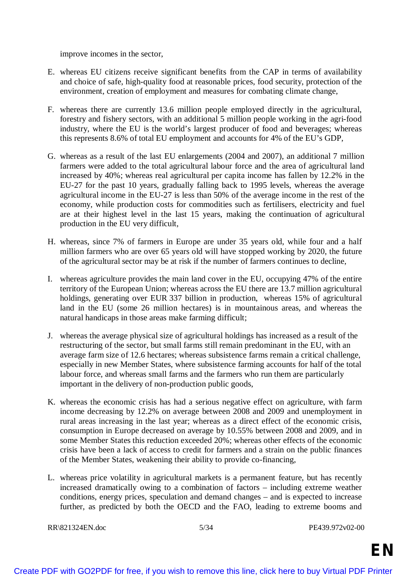improve incomes in the sector,

- E. whereas EU citizens receive significant benefits from the CAP in terms of availability and choice of safe, high-quality food at reasonable prices, food security, protection of the environment, creation of employment and measures for combating climate change,
- F. whereas there are currently 13.6 million people employed directly in the agricultural, forestry and fishery sectors, with an additional 5 million people working in the agri-food industry, where the EU is the world's largest producer of food and beverages; whereas this represents 8.6% of total EU employment and accounts for 4% of the EU's GDP,
- G. whereas as a result of the last EU enlargements (2004 and 2007), an additional 7 million farmers were added to the total agricultural labour force and the area of agricultural land increased by 40%; whereas real agricultural per capita income has fallen by 12.2% in the EU-27 for the past 10 years, gradually falling back to 1995 levels, whereas the average agricultural income in the EU-27 is less than 50% of the average income in the rest of the economy, while production costs for commodities such as fertilisers, electricity and fuel are at their highest level in the last 15 years, making the continuation of agricultural production in the EU very difficult,
- H. whereas, since 7% of farmers in Europe are under 35 years old, while four and a half million farmers who are over 65 years old will have stopped working by 2020, the future of the agricultural sector may be at risk if the number of farmers continues to decline,
- I. whereas agriculture provides the main land cover in the EU, occupying 47% of the entire territory of the European Union; whereas across the EU there are 13.7 million agricultural holdings, generating over EUR 337 billion in production, whereas 15% of agricultural land in the EU (some 26 million hectares) is in mountainous areas, and whereas the natural handicaps in those areas make farming difficult;
- J. whereas the average physical size of agricultural holdings has increased as a result of the restructuring of the sector, but small farms still remain predominant in the EU, with an average farm size of 12.6 hectares; whereas subsistence farms remain a critical challenge, especially in new Member States, where subsistence farming accounts for half of the total labour force, and whereas small farms and the farmers who run them are particularly important in the delivery of non-production public goods,
- K. whereas the economic crisis has had a serious negative effect on agriculture, with farm income decreasing by 12.2% on average between 2008 and 2009 and unemployment in rural areas increasing in the last year; whereas as a direct effect of the economic crisis, consumption in Europe decreased on average by 10.55% between 2008 and 2009, and in some Member States this reduction exceeded 20%; whereas other effects of the economic crisis have been a lack of access to credit for farmers and a strain on the public finances of the Member States, weakening their ability to provide co-financing,
- L. whereas price volatility in agricultural markets is a permanent feature, but has recently increased dramatically owing to a combination of factors – including extreme weather conditions, energy prices, speculation and demand changes – and is expected to increase further, as predicted by both the OECD and the FAO, leading to extreme booms and

RR\821324EN.doc 5/34 PE439.972v02-00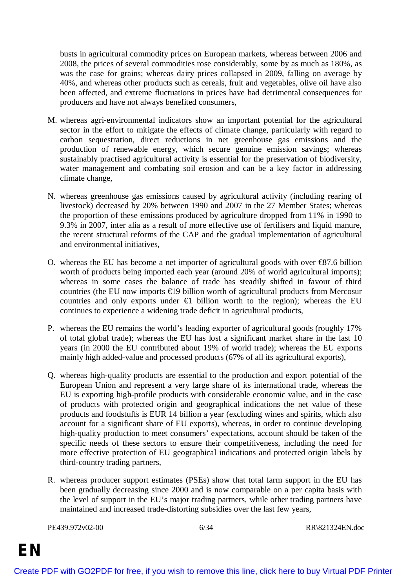busts in agricultural commodity prices on European markets, whereas between 2006 and 2008, the prices of several commodities rose considerably, some by as much as 180%, as was the case for grains; whereas dairy prices collapsed in 2009, falling on average by 40%, and whereas other products such as cereals, fruit and vegetables, olive oil have also been affected, and extreme fluctuations in prices have had detrimental consequences for producers and have not always benefited consumers,

- M. whereas agri-environmental indicators show an important potential for the agricultural sector in the effort to mitigate the effects of climate change, particularly with regard to carbon sequestration, direct reductions in net greenhouse gas emissions and the production of renewable energy, which secure genuine emission savings; whereas sustainably practised agricultural activity is essential for the preservation of biodiversity, water management and combating soil erosion and can be a key factor in addressing climate change,
- N. whereas greenhouse gas emissions caused by agricultural activity (including rearing of livestock) decreased by 20% between 1990 and 2007 in the 27 Member States; whereas the proportion of these emissions produced by agriculture dropped from 11% in 1990 to 9.3% in 2007, inter alia as a result of more effective use of fertilisers and liquid manure, the recent structural reforms of the CAP and the gradual implementation of agricultural and environmental initiatives,
- O. whereas the EU has become a net importer of agricultural goods with over  $\epsilon$ 87.6 billion worth of products being imported each year (around 20% of world agricultural imports); whereas in some cases the balance of trade has steadily shifted in favour of third countries (the EU now imports €19 billion worth of agricultural products from Mercosur countries and only exports under  $\epsilon$ 1 billion worth to the region); whereas the EU continues to experience a widening trade deficit in agricultural products,
- P. whereas the EU remains the world's leading exporter of agricultural goods (roughly 17% of total global trade); whereas the EU has lost a significant market share in the last 10 years (in 2000 the EU contributed about 19% of world trade); whereas the EU exports mainly high added-value and processed products (67% of all its agricultural exports),
- Q. whereas high-quality products are essential to the production and export potential of the European Union and represent a very large share of its international trade, whereas the EU is exporting high-profile products with considerable economic value, and in the case of products with protected origin and geographical indications the net value of these products and foodstuffs is EUR 14 billion a year (excluding wines and spirits, which also account for a significant share of EU exports), whereas, in order to continue developing high-quality production to meet consumers' expectations, account should be taken of the specific needs of these sectors to ensure their competitiveness, including the need for more effective protection of EU geographical indications and protected origin labels by third-country trading partners,
- R. whereas producer support estimates (PSEs) show that total farm support in the EU has been gradually decreasing since 2000 and is now comparable on a per capita basis with the level of support in the EU's major trading partners, while other trading partners have maintained and increased trade-distorting subsidies over the last few years,

PE439.972v02-00 6/34 RR\821324EN.doc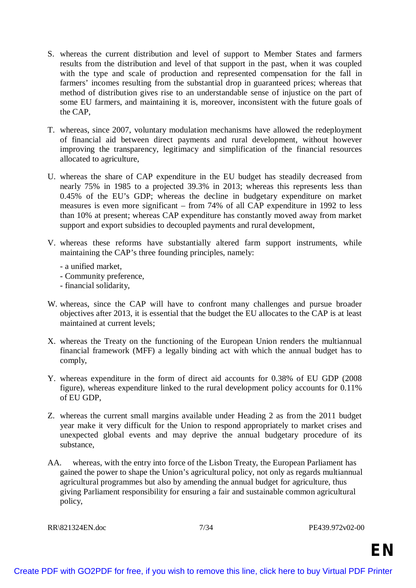- S. whereas the current distribution and level of support to Member States and farmers results from the distribution and level of that support in the past, when it was coupled with the type and scale of production and represented compensation for the fall in farmers' incomes resulting from the substantial drop in guaranteed prices; whereas that method of distribution gives rise to an understandable sense of injustice on the part of some EU farmers, and maintaining it is, moreover, inconsistent with the future goals of the CAP,
- T. whereas, since 2007, voluntary modulation mechanisms have allowed the redeployment of financial aid between direct payments and rural development, without however improving the transparency, legitimacy and simplification of the financial resources allocated to agriculture,
- U. whereas the share of CAP expenditure in the EU budget has steadily decreased from nearly 75% in 1985 to a projected 39.3% in 2013; whereas this represents less than 0.45% of the EU's GDP; whereas the decline in budgetary expenditure on market measures is even more significant – from 74% of all CAP expenditure in 1992 to less than 10% at present; whereas CAP expenditure has constantly moved away from market support and export subsidies to decoupled payments and rural development,
- V. whereas these reforms have substantially altered farm support instruments, while maintaining the CAP's three founding principles, namely:
	- a unified market,
	- Community preference,
	- financial solidarity,
- W. whereas, since the CAP will have to confront many challenges and pursue broader objectives after 2013, it is essential that the budget the EU allocates to the CAP is at least maintained at current levels;
- X. whereas the Treaty on the functioning of the European Union renders the multiannual financial framework (MFF) a legally binding act with which the annual budget has to comply,
- Y. whereas expenditure in the form of direct aid accounts for 0.38% of EU GDP (2008 figure), whereas expenditure linked to the rural development policy accounts for 0.11% of EU GDP,
- Z. whereas the current small margins available under Heading 2 as from the 2011 budget year make it very difficult for the Union to respond appropriately to market crises and unexpected global events and may deprive the annual budgetary procedure of its substance,
- AA. whereas, with the entry into force of the Lisbon Treaty, the European Parliament has gained the power to shape the Union's agricultural policy, not only as regards multiannual agricultural programmes but also by amending the annual budget for agriculture, thus giving Parliament responsibility for ensuring a fair and sustainable common agricultural policy,

RR\821324EN.doc 7/34 PE439.972v02-00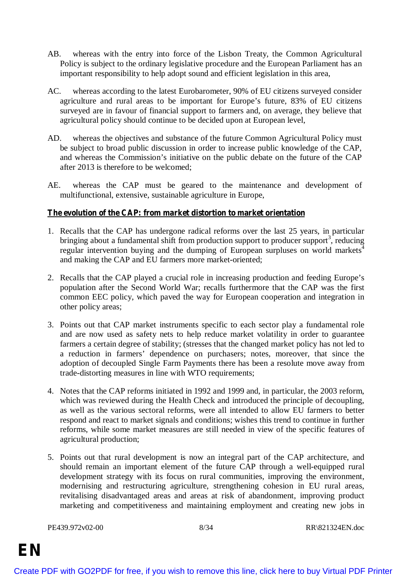- AB. whereas with the entry into force of the Lisbon Treaty, the Common Agricultural Policy is subject to the ordinary legislative procedure and the European Parliament has an important responsibility to help adopt sound and efficient legislation in this area,
- AC. whereas according to the latest Eurobarometer, 90% of EU citizens surveyed consider agriculture and rural areas to be important for Europe's future, 83% of EU citizens surveyed are in favour of financial support to farmers and, on average, they believe that agricultural policy should continue to be decided upon at European level,
- AD. whereas the objectives and substance of the future Common Agricultural Policy must be subject to broad public discussion in order to increase public knowledge of the CAP, and whereas the Commission's initiative on the public debate on the future of the CAP after 2013 is therefore to be welcomed;
- AE. whereas the CAP must be geared to the maintenance and development of multifunctional, extensive, sustainable agriculture in Europe,

# **The evolution of the CAP: from market distortion to market orientation**

- 1. Recalls that the CAP has undergone radical reforms over the last 25 years, in particular bringing about a fundamental shift from production support to producer support<sup>3</sup>, reducing regular intervention buying and the dumping of European surpluses on world markets<sup>4</sup> and making the CAP and EU farmers more market-oriented;
- 2. Recalls that the CAP played a crucial role in increasing production and feeding Europe's population after the Second World War; recalls furthermore that the CAP was the first common EEC policy, which paved the way for European cooperation and integration in other policy areas;
- 3. Points out that CAP market instruments specific to each sector play a fundamental role and are now used as safety nets to help reduce market volatility in order to guarantee farmers a certain degree of stability; (stresses that the changed market policy has not led to a reduction in farmers' dependence on purchasers; notes, moreover, that since the adoption of decoupled Single Farm Payments there has been a resolute move away from trade-distorting measures in line with WTO requirements;
- 4. Notes that the CAP reforms initiated in 1992 and 1999 and, in particular, the 2003 reform, which was reviewed during the Health Check and introduced the principle of decoupling, as well as the various sectoral reforms, were all intended to allow EU farmers to better respond and react to market signals and conditions; wishes this trend to continue in further reforms, while some market measures are still needed in view of the specific features of agricultural production;
- 5. Points out that rural development is now an integral part of the CAP architecture, and should remain an important element of the future CAP through a well-equipped rural development strategy with its focus on rural communities, improving the environment, modernising and restructuring agriculture, strengthening cohesion in EU rural areas, revitalising disadvantaged areas and areas at risk of abandonment, improving product marketing and competitiveness and maintaining employment and creating new jobs in

PE439.972v02-00 8/34 RR\821324EN.doc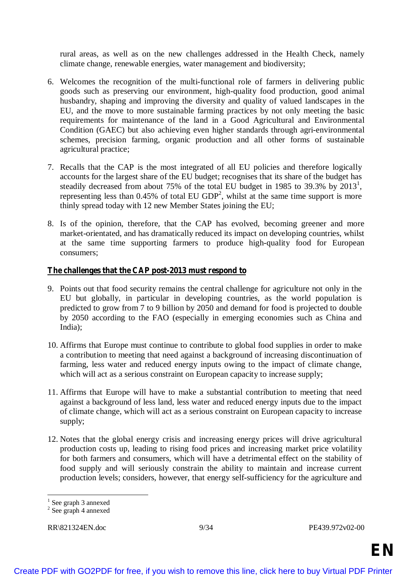rural areas, as well as on the new challenges addressed in the Health Check, namely climate change, renewable energies, water management and biodiversity;

- 6. Welcomes the recognition of the multi-functional role of farmers in delivering public goods such as preserving our environment, high-quality food production, good animal husbandry, shaping and improving the diversity and quality of valued landscapes in the EU, and the move to more sustainable farming practices by not only meeting the basic requirements for maintenance of the land in a Good Agricultural and Environmental Condition (GAEC) but also achieving even higher standards through agri-environmental schemes, precision farming, organic production and all other forms of sustainable agricultural practice;
- 7. Recalls that the CAP is the most integrated of all EU policies and therefore logically accounts for the largest share of the EU budget; recognises that its share of the budget has steadily decreased from about 75% of the total EU budget in 1985 to 39.3% by  $2013<sup>1</sup>$ , representing less than  $0.45\%$  of total EU GDP<sup>2</sup>, whilst at the same time support is more thinly spread today with 12 new Member States joining the EU;
- 8. Is of the opinion, therefore, that the CAP has evolved, becoming greener and more market-orientated, and has dramatically reduced its impact on developing countries, whilst at the same time supporting farmers to produce high-quality food for European consumers;

#### **The challenges that the CAP post-2013 must respond to**

- 9. Points out that food security remains the central challenge for agriculture not only in the EU but globally, in particular in developing countries, as the world population is predicted to grow from 7 to 9 billion by 2050 and demand for food is projected to double by 2050 according to the FAO (especially in emerging economies such as China and India);
- 10. Affirms that Europe must continue to contribute to global food supplies in order to make a contribution to meeting that need against a background of increasing discontinuation of farming, less water and reduced energy inputs owing to the impact of climate change, which will act as a serious constraint on European capacity to increase supply;
- 11. Affirms that Europe will have to make a substantial contribution to meeting that need against a background of less land, less water and reduced energy inputs due to the impact of climate change, which will act as a serious constraint on European capacity to increase supply;
- 12. Notes that the global energy crisis and increasing energy prices will drive agricultural production costs up, leading to rising food prices and increasing market price volatility for both farmers and consumers, which will have a detrimental effect on the stability of food supply and will seriously constrain the ability to maintain and increase current production levels; considers, however, that energy self-sufficiency for the agriculture and

RR\821324EN.doc 9/34 PE439.972v02-00

<sup>1</sup> See graph 3 annexed

<sup>2</sup> See graph 4 annexed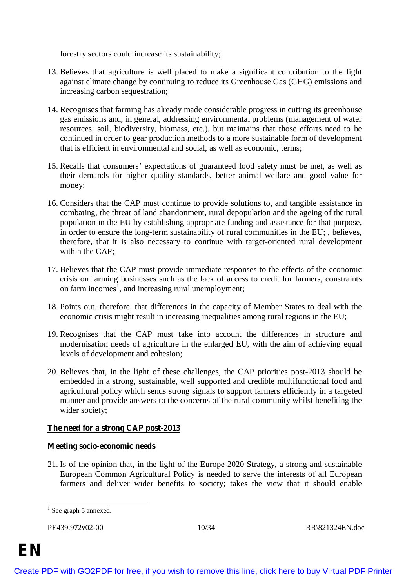forestry sectors could increase its sustainability;

- 13. Believes that agriculture is well placed to make a significant contribution to the fight against climate change by continuing to reduce its Greenhouse Gas (GHG) emissions and increasing carbon sequestration;
- 14. Recognises that farming has already made considerable progress in cutting its greenhouse gas emissions and, in general, addressing environmental problems (management of water resources, soil, biodiversity, biomass, etc.), but maintains that those efforts need to be continued in order to gear production methods to a more sustainable form of development that is efficient in environmental and social, as well as economic, terms;
- 15. Recalls that consumers' expectations of guaranteed food safety must be met, as well as their demands for higher quality standards, better animal welfare and good value for money;
- 16. Considers that the CAP must continue to provide solutions to, and tangible assistance in combating, the threat of land abandonment, rural depopulation and the ageing of the rural population in the EU by establishing appropriate funding and assistance for that purpose, in order to ensure the long-term sustainability of rural communities in the EU; , believes, therefore, that it is also necessary to continue with target-oriented rural development within the CAP;
- 17. Believes that the CAP must provide immediate responses to the effects of the economic crisis on farming businesses such as the lack of access to credit for farmers, constraints on farm incomes<sup>1</sup>, and increasing rural unemployment;
- 18. Points out, therefore, that differences in the capacity of Member States to deal with the economic crisis might result in increasing inequalities among rural regions in the EU;
- 19. Recognises that the CAP must take into account the differences in structure and modernisation needs of agriculture in the enlarged EU, with the aim of achieving equal levels of development and cohesion;
- 20. Believes that, in the light of these challenges, the CAP priorities post-2013 should be embedded in a strong, sustainable, well supported and credible multifunctional food and agricultural policy which sends strong signals to support farmers efficiently in a targeted manner and provide answers to the concerns of the rural community whilst benefiting the wider society;

# **The need for a strong CAP post-2013**

#### **Meeting socio-economic needs**

21. Is of the opinion that, in the light of the Europe 2020 Strategy, a strong and sustainable European Common Agricultural Policy is needed to serve the interests of all European farmers and deliver wider benefits to society; takes the view that it should enable

PE439.972v02-00 10/34 RR\821324EN.doc

<sup>&</sup>lt;sup>1</sup> See graph 5 annexed.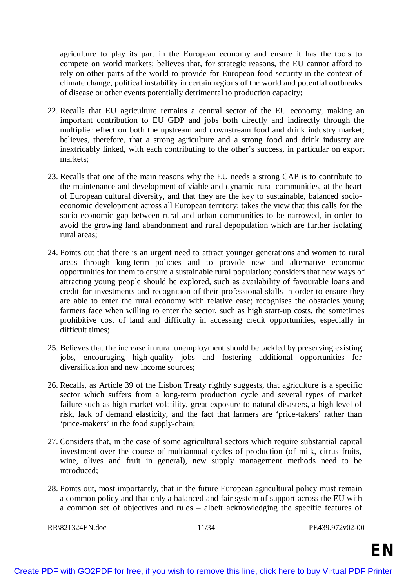agriculture to play its part in the European economy and ensure it has the tools to compete on world markets; believes that, for strategic reasons, the EU cannot afford to rely on other parts of the world to provide for European food security in the context of climate change, political instability in certain regions of the world and potential outbreaks of disease or other events potentially detrimental to production capacity;

- 22. Recalls that EU agriculture remains a central sector of the EU economy, making an important contribution to EU GDP and jobs both directly and indirectly through the multiplier effect on both the upstream and downstream food and drink industry market; believes, therefore, that a strong agriculture and a strong food and drink industry are inextricably linked, with each contributing to the other's success, in particular on export markets;
- 23. Recalls that one of the main reasons why the EU needs a strong CAP is to contribute to the maintenance and development of viable and dynamic rural communities, at the heart of European cultural diversity, and that they are the key to sustainable, balanced socioeconomic development across all European territory; takes the view that this calls for the socio-economic gap between rural and urban communities to be narrowed, in order to avoid the growing land abandonment and rural depopulation which are further isolating rural areas;
- 24. Points out that there is an urgent need to attract younger generations and women to rural areas through long-term policies and to provide new and alternative economic opportunities for them to ensure a sustainable rural population; considers that new ways of attracting young people should be explored, such as availability of favourable loans and credit for investments and recognition of their professional skills in order to ensure they are able to enter the rural economy with relative ease; recognises the obstacles young farmers face when willing to enter the sector, such as high start-up costs, the sometimes prohibitive cost of land and difficulty in accessing credit opportunities, especially in difficult times;
- 25. Believes that the increase in rural unemployment should be tackled by preserving existing jobs, encouraging high-quality jobs and fostering additional opportunities for diversification and new income sources;
- 26. Recalls, as Article 39 of the Lisbon Treaty rightly suggests, that agriculture is a specific sector which suffers from a long-term production cycle and several types of market failure such as high market volatility, great exposure to natural disasters, a high level of risk, lack of demand elasticity, and the fact that farmers are 'price-takers' rather than 'price-makers' in the food supply-chain;
- 27. Considers that, in the case of some agricultural sectors which require substantial capital investment over the course of multiannual cycles of production (of milk, citrus fruits, wine, olives and fruit in general), new supply management methods need to be introduced;
- 28. Points out, most importantly, that in the future European agricultural policy must remain a common policy and that only a balanced and fair system of support across the EU with a common set of objectives and rules – albeit acknowledging the specific features of

RR\821324EN.doc 11/34 PE439.972v02-00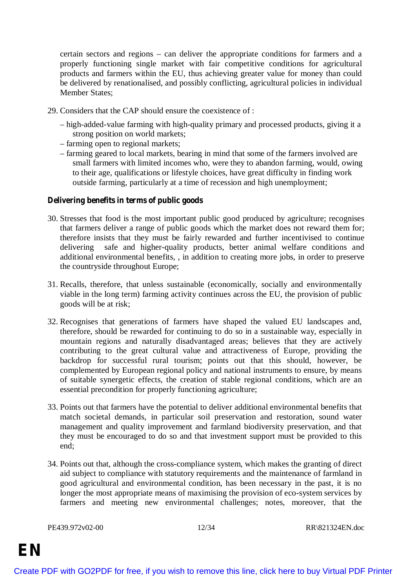certain sectors and regions – can deliver the appropriate conditions for farmers and a properly functioning single market with fair competitive conditions for agricultural products and farmers within the EU, thus achieving greater value for money than could be delivered by renationalised, and possibly conflicting, agricultural policies in individual Member States;

- 29. Considers that the CAP should ensure the coexistence of :
	- high-added-value farming with high-quality primary and processed products, giving it a strong position on world markets;
	- farming open to regional markets;
	- farming geared to local markets, bearing in mind that some of the farmers involved are small farmers with limited incomes who, were they to abandon farming, would, owing to their age, qualifications or lifestyle choices, have great difficulty in finding work outside farming, particularly at a time of recession and high unemployment;

#### **Delivering benefits in terms of public goods**

- 30. Stresses that food is the most important public good produced by agriculture; recognises that farmers deliver a range of public goods which the market does not reward them for; therefore insists that they must be fairly rewarded and further incentivised to continue delivering safe and higher-quality products, better animal welfare conditions and additional environmental benefits, , in addition to creating more jobs, in order to preserve the countryside throughout Europe;
- 31. Recalls, therefore, that unless sustainable (economically, socially and environmentally viable in the long term) farming activity continues across the EU, the provision of public goods will be at risk;
- 32. Recognises that generations of farmers have shaped the valued EU landscapes and, therefore, should be rewarded for continuing to do so in a sustainable way, especially in mountain regions and naturally disadvantaged areas; believes that they are actively contributing to the great cultural value and attractiveness of Europe, providing the backdrop for successful rural tourism; points out that this should, however, be complemented by European regional policy and national instruments to ensure, by means of suitable synergetic effects, the creation of stable regional conditions, which are an essential precondition for properly functioning agriculture;
- 33. Points out that farmers have the potential to deliver additional environmental benefits that match societal demands, in particular soil preservation and restoration, sound water management and quality improvement and farmland biodiversity preservation, and that they must be encouraged to do so and that investment support must be provided to this end;
- 34. Points out that, although the cross-compliance system, which makes the granting of direct aid subject to compliance with statutory requirements and the maintenance of farmland in good agricultural and environmental condition, has been necessary in the past, it is no longer the most appropriate means of maximising the provision of eco-system services by farmers and meeting new environmental challenges; notes, moreover, that the

PE439.972v02-00 12/34 RR\821324EN.doc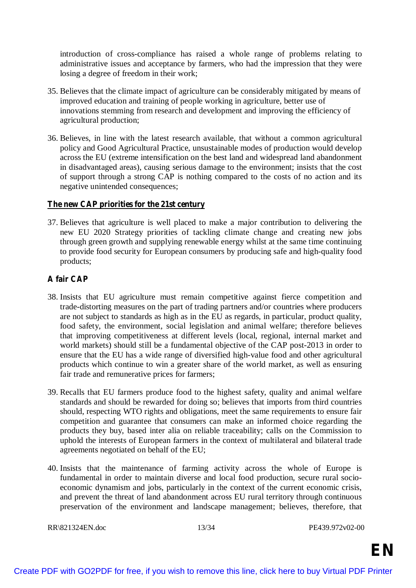introduction of cross-compliance has raised a whole range of problems relating to administrative issues and acceptance by farmers, who had the impression that they were losing a degree of freedom in their work;

- 35. Believes that the climate impact of agriculture can be considerably mitigated by means of improved education and training of people working in agriculture, better use of innovations stemming from research and development and improving the efficiency of agricultural production;
- 36. Believes, in line with the latest research available, that without a common agricultural policy and Good Agricultural Practice, unsustainable modes of production would develop across the EU (extreme intensification on the best land and widespread land abandonment in disadvantaged areas), causing serious damage to the environment; insists that the cost of support through a strong CAP is nothing compared to the costs of no action and its negative unintended consequences;

#### **The new CAP priorities for the 21st century**

37. Believes that agriculture is well placed to make a major contribution to delivering the new EU 2020 Strategy priorities of tackling climate change and creating new jobs through green growth and supplying renewable energy whilst at the same time continuing to provide food security for European consumers by producing safe and high-quality food products;

#### **A fair CAP**

- 38. Insists that EU agriculture must remain competitive against fierce competition and trade-distorting measures on the part of trading partners and/or countries where producers are not subject to standards as high as in the EU as regards, in particular, product quality, food safety, the environment, social legislation and animal welfare; therefore believes that improving competitiveness at different levels (local, regional, internal market and world markets) should still be a fundamental objective of the CAP post-2013 in order to ensure that the EU has a wide range of diversified high-value food and other agricultural products which continue to win a greater share of the world market, as well as ensuring fair trade and remunerative prices for farmers;
- 39. Recalls that EU farmers produce food to the highest safety, quality and animal welfare standards and should be rewarded for doing so; believes that imports from third countries should, respecting WTO rights and obligations, meet the same requirements to ensure fair competition and guarantee that consumers can make an informed choice regarding the products they buy, based inter alia on reliable traceability; calls on the Commission to uphold the interests of European farmers in the context of multilateral and bilateral trade agreements negotiated on behalf of the EU;
- 40. Insists that the maintenance of farming activity across the whole of Europe is fundamental in order to maintain diverse and local food production, secure rural socioeconomic dynamism and jobs, particularly in the context of the current economic crisis, and prevent the threat of land abandonment across EU rural territory through continuous preservation of the environment and landscape management; believes, therefore, that

RR\821324EN.doc 13/34 PE439.972v02-00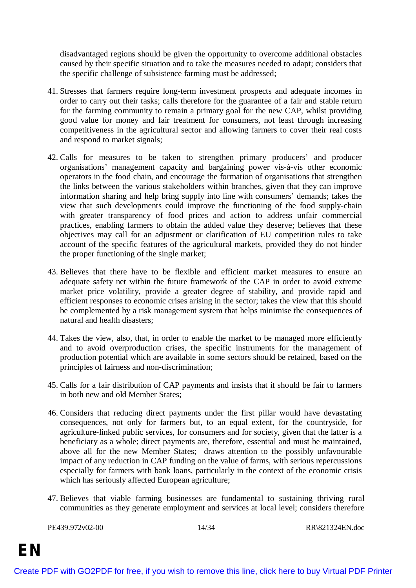disadvantaged regions should be given the opportunity to overcome additional obstacles caused by their specific situation and to take the measures needed to adapt; considers that the specific challenge of subsistence farming must be addressed;

- 41. Stresses that farmers require long-term investment prospects and adequate incomes in order to carry out their tasks; calls therefore for the guarantee of a fair and stable return for the farming community to remain a primary goal for the new CAP, whilst providing good value for money and fair treatment for consumers, not least through increasing competitiveness in the agricultural sector and allowing farmers to cover their real costs and respond to market signals;
- 42. Calls for measures to be taken to strengthen primary producers' and producer organisations' management capacity and bargaining power vis-à-vis other economic operators in the food chain, and encourage the formation of organisations that strengthen the links between the various stakeholders within branches, given that they can improve information sharing and help bring supply into line with consumers' demands; takes the view that such developments could improve the functioning of the food supply-chain with greater transparency of food prices and action to address unfair commercial practices, enabling farmers to obtain the added value they deserve; believes that these objectives may call for an adjustment or clarification of EU competition rules to take account of the specific features of the agricultural markets, provided they do not hinder the proper functioning of the single market;
- 43. Believes that there have to be flexible and efficient market measures to ensure an adequate safety net within the future framework of the CAP in order to avoid extreme market price volatility, provide a greater degree of stability, and provide rapid and efficient responses to economic crises arising in the sector; takes the view that this should be complemented by a risk management system that helps minimise the consequences of natural and health disasters;
- 44. Takes the view, also, that, in order to enable the market to be managed more efficiently and to avoid overproduction crises, the specific instruments for the management of production potential which are available in some sectors should be retained, based on the principles of fairness and non-discrimination;
- 45. Calls for a fair distribution of CAP payments and insists that it should be fair to farmers in both new and old Member States;
- 46. Considers that reducing direct payments under the first pillar would have devastating consequences, not only for farmers but, to an equal extent, for the countryside, for agriculture-linked public services, for consumers and for society, given that the latter is a beneficiary as a whole; direct payments are, therefore, essential and must be maintained, above all for the new Member States; draws attention to the possibly unfavourable impact of any reduction in CAP funding on the value of farms, with serious repercussions especially for farmers with bank loans, particularly in the context of the economic crisis which has seriously affected European agriculture;
- 47. Believes that viable farming businesses are fundamental to sustaining thriving rural communities as they generate employment and services at local level; considers therefore

PE439.972v02-00 14/34 RR\821324EN.doc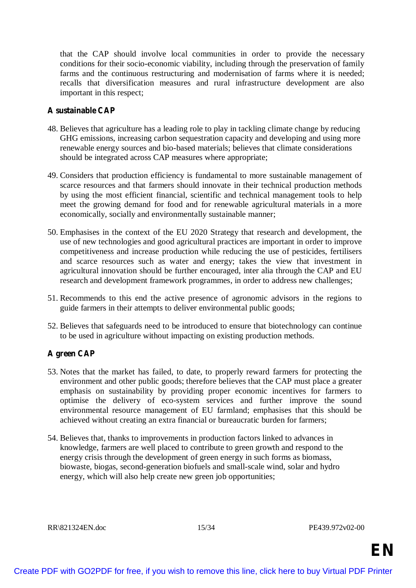that the CAP should involve local communities in order to provide the necessary conditions for their socio-economic viability, including through the preservation of family farms and the continuous restructuring and modernisation of farms where it is needed; recalls that diversification measures and rural infrastructure development are also important in this respect;

#### **A sustainable CAP**

- 48. Believes that agriculture has a leading role to play in tackling climate change by reducing GHG emissions, increasing carbon sequestration capacity and developing and using more renewable energy sources and bio-based materials; believes that climate considerations should be integrated across CAP measures where appropriate;
- 49. Considers that production efficiency is fundamental to more sustainable management of scarce resources and that farmers should innovate in their technical production methods by using the most efficient financial, scientific and technical management tools to help meet the growing demand for food and for renewable agricultural materials in a more economically, socially and environmentally sustainable manner;
- 50. Emphasises in the context of the EU 2020 Strategy that research and development, the use of new technologies and good agricultural practices are important in order to improve competitiveness and increase production while reducing the use of pesticides, fertilisers and scarce resources such as water and energy; takes the view that investment in agricultural innovation should be further encouraged, inter alia through the CAP and EU research and development framework programmes, in order to address new challenges;
- 51. Recommends to this end the active presence of agronomic advisors in the regions to guide farmers in their attempts to deliver environmental public goods;
- 52. Believes that safeguards need to be introduced to ensure that biotechnology can continue to be used in agriculture without impacting on existing production methods.

# **A green CAP**

- 53. Notes that the market has failed, to date, to properly reward farmers for protecting the environment and other public goods; therefore believes that the CAP must place a greater emphasis on sustainability by providing proper economic incentives for farmers to optimise the delivery of eco-system services and further improve the sound environmental resource management of EU farmland; emphasises that this should be achieved without creating an extra financial or bureaucratic burden for farmers;
- 54. Believes that, thanks to improvements in production factors linked to advances in knowledge, farmers are well placed to contribute to green growth and respond to the energy crisis through the development of green energy in such forms as biomass, biowaste, biogas, second-generation biofuels and small-scale wind, solar and hydro energy, which will also help create new green job opportunities;

RR\821324EN.doc 15/34 PE439.972v02-00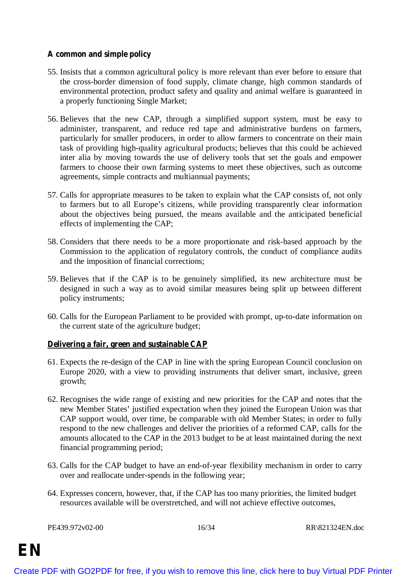#### **A common and simple policy**

- 55. Insists that a common agricultural policy is more relevant than ever before to ensure that the cross-border dimension of food supply, climate change, high common standards of environmental protection, product safety and quality and animal welfare is guaranteed in a properly functioning Single Market;
- 56. Believes that the new CAP, through a simplified support system, must be easy to administer, transparent, and reduce red tape and administrative burdens on farmers, particularly for smaller producers, in order to allow farmers to concentrate on their main task of providing high-quality agricultural products; believes that this could be achieved inter alia by moving towards the use of delivery tools that set the goals and empower farmers to choose their own farming systems to meet these objectives, such as outcome agreements, simple contracts and multiannual payments;
- 57. Calls for appropriate measures to be taken to explain what the CAP consists of, not only to farmers but to all Europe's citizens, while providing transparently clear information about the objectives being pursued, the means available and the anticipated beneficial effects of implementing the CAP;
- 58. Considers that there needs to be a more proportionate and risk-based approach by the Commission to the application of regulatory controls, the conduct of compliance audits and the imposition of financial corrections;
- 59. Believes that if the CAP is to be genuinely simplified, its new architecture must be designed in such a way as to avoid similar measures being split up between different policy instruments;
- 60. Calls for the European Parliament to be provided with prompt, up-to-date information on the current state of the agriculture budget;

#### **Delivering a fair, green and sustainable CAP**

- 61. Expects the re-design of the CAP in line with the spring European Council conclusion on Europe 2020, with a view to providing instruments that deliver smart, inclusive, green growth;
- 62. Recognises the wide range of existing and new priorities for the CAP and notes that the new Member States' justified expectation when they joined the European Union was that CAP support would, over time, be comparable with old Member States; in order to fully respond to the new challenges and deliver the priorities of a reformed CAP, calls for the amounts allocated to the CAP in the 2013 budget to be at least maintained during the next financial programming period;
- 63. Calls for the CAP budget to have an end-of-year flexibility mechanism in order to carry over and reallocate under-spends in the following year;
- 64. Expresses concern, however, that, if the CAP has too many priorities, the limited budget resources available will be overstretched, and will not achieve effective outcomes,

PE439.972v02-00 16/34 RR\821324EN.doc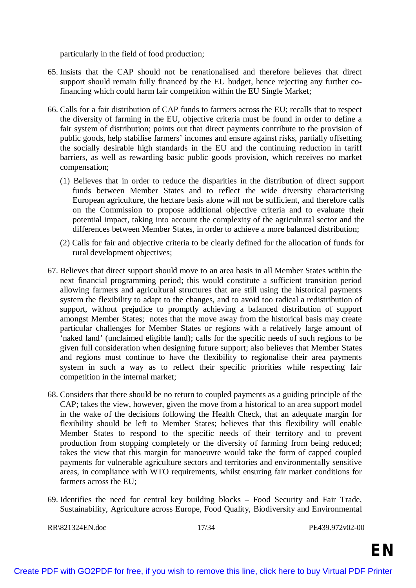particularly in the field of food production;

- 65. Insists that the CAP should not be renationalised and therefore believes that direct support should remain fully financed by the EU budget, hence rejecting any further cofinancing which could harm fair competition within the EU Single Market;
- 66. Calls for a fair distribution of CAP funds to farmers across the EU; recalls that to respect the diversity of farming in the EU, objective criteria must be found in order to define a fair system of distribution; points out that direct payments contribute to the provision of public goods, help stabilise farmers' incomes and ensure against risks, partially offsetting the socially desirable high standards in the EU and the continuing reduction in tariff barriers, as well as rewarding basic public goods provision, which receives no market compensation;
	- (1) Believes that in order to reduce the disparities in the distribution of direct support funds between Member States and to reflect the wide diversity characterising European agriculture, the hectare basis alone will not be sufficient, and therefore calls on the Commission to propose additional objective criteria and to evaluate their potential impact, taking into account the complexity of the agricultural sector and the differences between Member States, in order to achieve a more balanced distribution;
	- (2) Calls for fair and objective criteria to be clearly defined for the allocation of funds for rural development objectives;
- 67. Believes that direct support should move to an area basis in all Member States within the next financial programming period; this would constitute a sufficient transition period allowing farmers and agricultural structures that are still using the historical payments system the flexibility to adapt to the changes, and to avoid too radical a redistribution of support, without prejudice to promptly achieving a balanced distribution of support amongst Member States; notes that the move away from the historical basis may create particular challenges for Member States or regions with a relatively large amount of 'naked land' (unclaimed eligible land); calls for the specific needs of such regions to be given full consideration when designing future support; also believes that Member States and regions must continue to have the flexibility to regionalise their area payments system in such a way as to reflect their specific priorities while respecting fair competition in the internal market;
- 68. Considers that there should be no return to coupled payments as a guiding principle of the CAP; takes the view, however, given the move from a historical to an area support model in the wake of the decisions following the Health Check, that an adequate margin for flexibility should be left to Member States; believes that this flexibility will enable Member States to respond to the specific needs of their territory and to prevent production from stopping completely or the diversity of farming from being reduced; takes the view that this margin for manoeuvre would take the form of capped coupled payments for vulnerable agriculture sectors and territories and environmentally sensitive areas, in compliance with WTO requirements, whilst ensuring fair market conditions for farmers across the EU;
- 69. Identifies the need for central key building blocks Food Security and Fair Trade, Sustainability, Agriculture across Europe, Food Quality, Biodiversity and Environmental

RR\821324EN.doc 17/34 PE439.972v02-00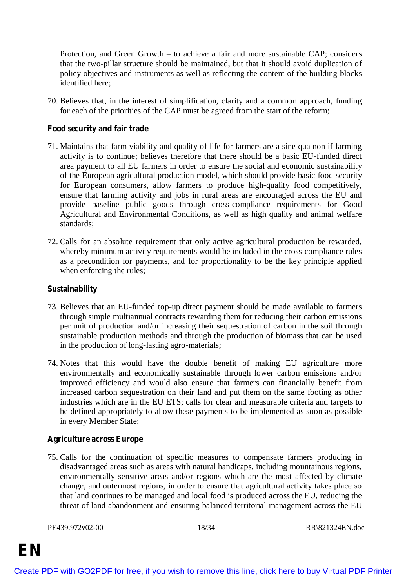Protection, and Green Growth – to achieve a fair and more sustainable CAP; considers that the two-pillar structure should be maintained, but that it should avoid duplication of policy objectives and instruments as well as reflecting the content of the building blocks identified here;

70. Believes that, in the interest of simplification, clarity and a common approach, funding for each of the priorities of the CAP must be agreed from the start of the reform;

#### **Food security and fair trade**

- 71. Maintains that farm viability and quality of life for farmers are a sine qua non if farming activity is to continue; believes therefore that there should be a basic EU-funded direct area payment to all EU farmers in order to ensure the social and economic sustainability of the European agricultural production model, which should provide basic food security for European consumers, allow farmers to produce high-quality food competitively, ensure that farming activity and jobs in rural areas are encouraged across the EU and provide baseline public goods through cross-compliance requirements for Good Agricultural and Environmental Conditions, as well as high quality and animal welfare standards;
- 72. Calls for an absolute requirement that only active agricultural production be rewarded, whereby minimum activity requirements would be included in the cross-compliance rules as a precondition for payments, and for proportionality to be the key principle applied when enforcing the rules;

#### **Sustainability**

- 73. Believes that an EU-funded top-up direct payment should be made available to farmers through simple multiannual contracts rewarding them for reducing their carbon emissions per unit of production and/or increasing their sequestration of carbon in the soil through sustainable production methods and through the production of biomass that can be used in the production of long-lasting agro-materials;
- 74. Notes that this would have the double benefit of making EU agriculture more environmentally and economically sustainable through lower carbon emissions and/or improved efficiency and would also ensure that farmers can financially benefit from increased carbon sequestration on their land and put them on the same footing as other industries which are in the EU ETS; calls for clear and measurable criteria and targets to be defined appropriately to allow these payments to be implemented as soon as possible in every Member State;

#### **Agriculture across Europe**

75. Calls for the continuation of specific measures to compensate farmers producing in disadvantaged areas such as areas with natural handicaps, including mountainous regions, environmentally sensitive areas and/or regions which are the most affected by climate change, and outermost regions, in order to ensure that agricultural activity takes place so that land continues to be managed and local food is produced across the EU, reducing the threat of land abandonment and ensuring balanced territorial management across the EU

PE439.972v02-00 18/34 RR\821324EN.doc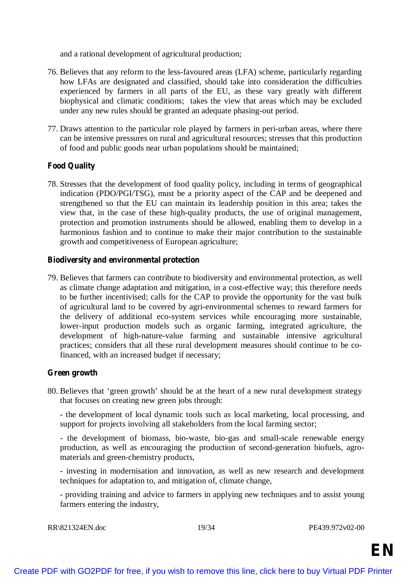and a rational development of agricultural production;

- 76. Believes that any reform to the less-favoured areas (LFA) scheme, particularly regarding how LFAs are designated and classified, should take into consideration the difficulties experienced by farmers in all parts of the EU, as these vary greatly with different biophysical and climatic conditions; takes the view that areas which may be excluded under any new rules should be granted an adequate phasing-out period.
- 77. Draws attention to the particular role played by farmers in peri-urban areas, where there can be intensive pressures on rural and agricultural resources; stresses that this production of food and public goods near urban populations should be maintained;

#### **Food Quality**

78. Stresses that the development of food quality policy, including in terms of geographical indication (PDO/PGI/TSG), must be a priority aspect of the CAP and be deepened and strengthened so that the EU can maintain its leadership position in this area; takes the view that, in the case of these high-quality products, the use of original management, protection and promotion instruments should be allowed, enabling them to develop in a harmonious fashion and to continue to make their major contribution to the sustainable growth and competitiveness of European agriculture;

#### **Biodiversity and environmental protection**

79. Believes that farmers can contribute to biodiversity and environmental protection, as well as climate change adaptation and mitigation, in a cost-effective way; this therefore needs to be further incentivised; calls for the CAP to provide the opportunity for the vast bulk of agricultural land to be covered by agri-environmental schemes to reward farmers for the delivery of additional eco-system services while encouraging more sustainable, lower-input production models such as organic farming, integrated agriculture, the development of high-nature-value farming and sustainable intensive agricultural practices; considers that all these rural development measures should continue to be cofinanced, with an increased budget if necessary;

#### **Green growth**

80. Believes that 'green growth' should be at the heart of a new rural development strategy that focuses on creating new green jobs through:

- the development of local dynamic tools such as local marketing, local processing, and support for projects involving all stakeholders from the local farming sector;

- the development of biomass, bio-waste, bio-gas and small-scale renewable energy production, as well as encouraging the production of second-generation biofuels, agromaterials and green-chemistry products,

- investing in modernisation and innovation, as well as new research and development techniques for adaptation to, and mitigation of, climate change,

- providing training and advice to farmers in applying new techniques and to assist young farmers entering the industry,

RR\821324EN.doc 19/34 PE439.972v02-00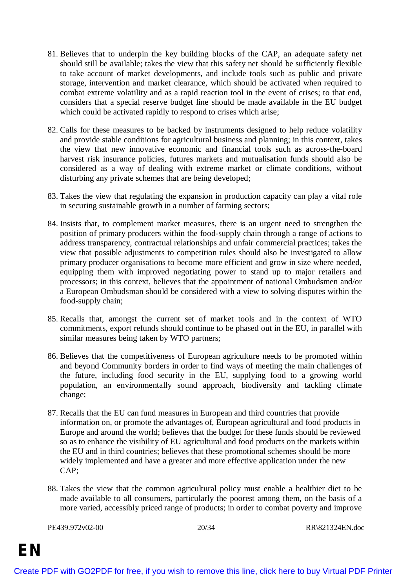- 81. Believes that to underpin the key building blocks of the CAP, an adequate safety net should still be available; takes the view that this safety net should be sufficiently flexible to take account of market developments, and include tools such as public and private storage, intervention and market clearance, which should be activated when required to combat extreme volatility and as a rapid reaction tool in the event of crises; to that end, considers that a special reserve budget line should be made available in the EU budget which could be activated rapidly to respond to crises which arise;
- 82. Calls for these measures to be backed by instruments designed to help reduce volatility and provide stable conditions for agricultural business and planning; in this context, takes the view that new innovative economic and financial tools such as across-the-board harvest risk insurance policies, futures markets and mutualisation funds should also be considered as a way of dealing with extreme market or climate conditions, without disturbing any private schemes that are being developed;
- 83. Takes the view that regulating the expansion in production capacity can play a vital role in securing sustainable growth in a number of farming sectors;
- 84. Insists that, to complement market measures, there is an urgent need to strengthen the position of primary producers within the food-supply chain through a range of actions to address transparency, contractual relationships and unfair commercial practices; takes the view that possible adjustments to competition rules should also be investigated to allow primary producer organisations to become more efficient and grow in size where needed, equipping them with improved negotiating power to stand up to major retailers and processors; in this context, believes that the appointment of national Ombudsmen and/or a European Ombudsman should be considered with a view to solving disputes within the food-supply chain;
- 85. Recalls that, amongst the current set of market tools and in the context of WTO commitments, export refunds should continue to be phased out in the EU, in parallel with similar measures being taken by WTO partners;
- 86. Believes that the competitiveness of European agriculture needs to be promoted within and beyond Community borders in order to find ways of meeting the main challenges of the future, including food security in the EU, supplying food to a growing world population, an environmentally sound approach, biodiversity and tackling climate change;
- 87. Recalls that the EU can fund measures in European and third countries that provide information on, or promote the advantages of, European agricultural and food products in Europe and around the world; believes that the budget for these funds should be reviewed so as to enhance the visibility of EU agricultural and food products on the markets within the EU and in third countries; believes that these promotional schemes should be more widely implemented and have a greater and more effective application under the new CAP;
- 88. Takes the view that the common agricultural policy must enable a healthier diet to be made available to all consumers, particularly the poorest among them, on the basis of a more varied, accessibly priced range of products; in order to combat poverty and improve

PE439.972v02-00 20/34 RR\821324EN.doc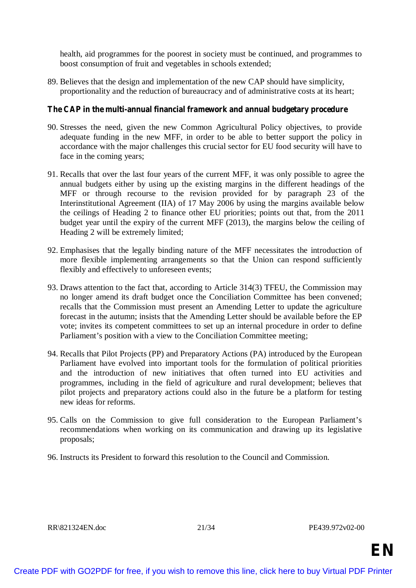health, aid programmes for the poorest in society must be continued, and programmes to boost consumption of fruit and vegetables in schools extended;

89. Believes that the design and implementation of the new CAP should have simplicity, proportionality and the reduction of bureaucracy and of administrative costs at its heart;

#### **The CAP in the multi-annual financial framework and annual budgetary procedure**

- 90. Stresses the need, given the new Common Agricultural Policy objectives, to provide adequate funding in the new MFF, in order to be able to better support the policy in accordance with the major challenges this crucial sector for EU food security will have to face in the coming years;
- 91. Recalls that over the last four years of the current MFF, it was only possible to agree the annual budgets either by using up the existing margins in the different headings of the MFF or through recourse to the revision provided for by paragraph 23 of the Interinstitutional Agreement (IIA) of 17 May 2006 by using the margins available below the ceilings of Heading 2 to finance other EU priorities; points out that, from the 2011 budget year until the expiry of the current MFF (2013), the margins below the ceiling of Heading 2 will be extremely limited;
- 92. Emphasises that the legally binding nature of the MFF necessitates the introduction of more flexible implementing arrangements so that the Union can respond sufficiently flexibly and effectively to unforeseen events;
- 93. Draws attention to the fact that, according to Article 314(3) TFEU, the Commission may no longer amend its draft budget once the Conciliation Committee has been convened; recalls that the Commission must present an Amending Letter to update the agriculture forecast in the autumn; insists that the Amending Letter should be available before the EP vote; invites its competent committees to set up an internal procedure in order to define Parliament's position with a view to the Conciliation Committee meeting;
- 94. Recalls that Pilot Projects (PP) and Preparatory Actions (PA) introduced by the European Parliament have evolved into important tools for the formulation of political priorities and the introduction of new initiatives that often turned into EU activities and programmes, including in the field of agriculture and rural development; believes that pilot projects and preparatory actions could also in the future be a platform for testing new ideas for reforms.
- 95. Calls on the Commission to give full consideration to the European Parliament's recommendations when working on its communication and drawing up its legislative proposals;
- 96. Instructs its President to forward this resolution to the Council and Commission.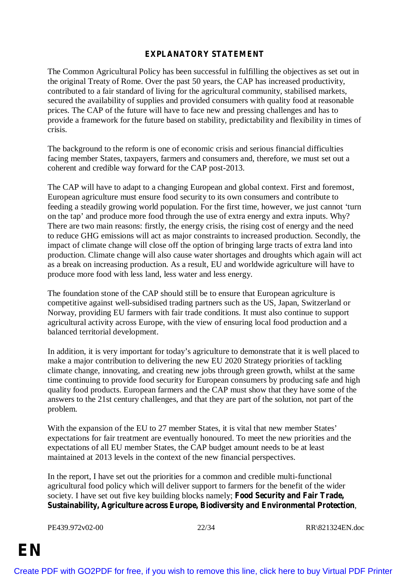#### **EXPLANATORY STATEMENT**

The Common Agricultural Policy has been successful in fulfilling the objectives as set out in the original Treaty of Rome. Over the past 50 years, the CAP has increased productivity, contributed to a fair standard of living for the agricultural community, stabilised markets, secured the availability of supplies and provided consumers with quality food at reasonable prices. The CAP of the future will have to face new and pressing challenges and has to provide a framework for the future based on stability, predictability and flexibility in times of crisis.

The background to the reform is one of economic crisis and serious financial difficulties facing member States, taxpayers, farmers and consumers and, therefore, we must set out a coherent and credible way forward for the CAP post-2013.

The CAP will have to adapt to a changing European and global context. First and foremost, European agriculture must ensure food security to its own consumers and contribute to feeding a steadily growing world population. For the first time, however, we just cannot 'turn on the tap' and produce more food through the use of extra energy and extra inputs. Why? There are two main reasons: firstly, the energy crisis, the rising cost of energy and the need to reduce GHG emissions will act as major constraints to increased production. Secondly, the impact of climate change will close off the option of bringing large tracts of extra land into production. Climate change will also cause water shortages and droughts which again will act as a break on increasing production. As a result, EU and worldwide agriculture will have to produce more food with less land, less water and less energy.

The foundation stone of the CAP should still be to ensure that European agriculture is competitive against well-subsidised trading partners such as the US, Japan, Switzerland or Norway, providing EU farmers with fair trade conditions. It must also continue to support agricultural activity across Europe, with the view of ensuring local food production and a balanced territorial development.

In addition, it is very important for today's agriculture to demonstrate that it is well placed to make a major contribution to delivering the new EU 2020 Strategy priorities of tackling climate change, innovating, and creating new jobs through green growth, whilst at the same time continuing to provide food security for European consumers by producing safe and high quality food products. European farmers and the CAP must show that they have some of the answers to the 21st century challenges, and that they are part of the solution, not part of the problem.

With the expansion of the EU to 27 member States, it is vital that new member States' expectations for fair treatment are eventually honoured. To meet the new priorities and the expectations of all EU member States, the CAP budget amount needs to be at least maintained at 2013 levels in the context of the new financial perspectives.

In the report, I have set out the priorities for a common and credible multi-functional agricultural food policy which will deliver support to farmers for the benefit of the wider society. I have set out five key building blocks namely; **Food Security and Fair Trade, Sustainability, Agriculture across Europe, Biodiversity and Environmental Protection**,

PE439.972v02-00 22/34 RR\821324EN.doc

**EN**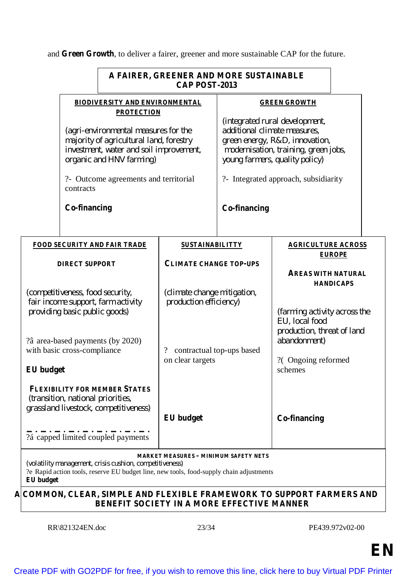and **Green Growth**, to deliver a fairer, greener and more sustainable CAP for the future.

|                                                                                                                                                                         |                                                                                                                                                                                                                                                                                      | A FAIRER, GREENER AND MORE SUSTAINABLE<br><b>CAP POST-2013</b>            |                                                                                                                                                                                                                                                                  |                                                                             |                  |
|-------------------------------------------------------------------------------------------------------------------------------------------------------------------------|--------------------------------------------------------------------------------------------------------------------------------------------------------------------------------------------------------------------------------------------------------------------------------------|---------------------------------------------------------------------------|------------------------------------------------------------------------------------------------------------------------------------------------------------------------------------------------------------------------------------------------------------------|-----------------------------------------------------------------------------|------------------|
| contracts                                                                                                                                                               | <b>BIODIVERSITY AND ENVIRONMENTAL</b><br><b>PROTECTION</b><br>(agri-environmental measures for the<br>majority of agricultural land, forestry<br>investment, water and soil improvement,<br>organic and HNV farming)<br>?- Outcome agreements and territorial<br><b>Co-financing</b> |                                                                           | <b>GREEN GROWTH</b><br>(integrated rural development,<br>additional climate measures,<br>green energy, R&D, innovation,<br>modernisation, training, green jobs,<br>young farmers, quality policy)<br>?- Integrated approach, subsidiarity<br><b>Co-financing</b> |                                                                             |                  |
| FOOD SECURITY AND FAIR TRADE<br><b>DIRECT SUPPORT</b>                                                                                                                   |                                                                                                                                                                                                                                                                                      | <b>SUSTAINABILITTY</b><br><b>CLIMATE CHANGE TOP-UPS</b>                   |                                                                                                                                                                                                                                                                  | <b>AGRICULTURE ACROSS</b><br><b>AREAS WITH NATURAL</b>                      | <b>EUROPE</b>    |
| (competitiveness, food security,<br>fair income support, farm activity<br>providing basic public goods)                                                                 |                                                                                                                                                                                                                                                                                      | (climate change mitigation,<br><i>production efficiency</i> )             |                                                                                                                                                                                                                                                                  | (farming activity across the<br>EU, local food                              | <b>HANDICAPS</b> |
| ? $\hat{a}$ area-based payments (by 2020)<br>with basic cross-compliance<br><b>EU</b> budget                                                                            |                                                                                                                                                                                                                                                                                      | contractual top-ups based<br>$\overline{\mathcal{L}}$<br>on clear targets |                                                                                                                                                                                                                                                                  | production, threat of land<br>abandonment)<br>?(Ongoing reformed<br>schemes |                  |
| <b>FLEXIBILITY FOR MEMBER STATES</b><br>(transition, national priorities,<br>grassland livestock, competitiveness)<br>?á capped limited coupled payments                |                                                                                                                                                                                                                                                                                      | <b>EU</b> budget                                                          |                                                                                                                                                                                                                                                                  | <b>Co-financing</b>                                                         |                  |
| (volatility management, crisis cushion, competitiveness)<br>?e Rapid action tools, reserve EU budget line, new tools, food-supply chain adjustments<br><b>EU</b> budget |                                                                                                                                                                                                                                                                                      | <b>MARKET MEASURES - MINIMUM SAFETY NETS</b>                              |                                                                                                                                                                                                                                                                  |                                                                             |                  |
| A COMMON, CLEAR, SIMPLE AND FLEXIBLE FRAMEWORK TO SUPPORT FARMERS AND<br><b>BENEFIT SOCIETY IN A MORE EFFECTIVE MANNER</b>                                              |                                                                                                                                                                                                                                                                                      |                                                                           |                                                                                                                                                                                                                                                                  |                                                                             |                  |

RR\821324EN.doc 23/34 PE439.972v02-00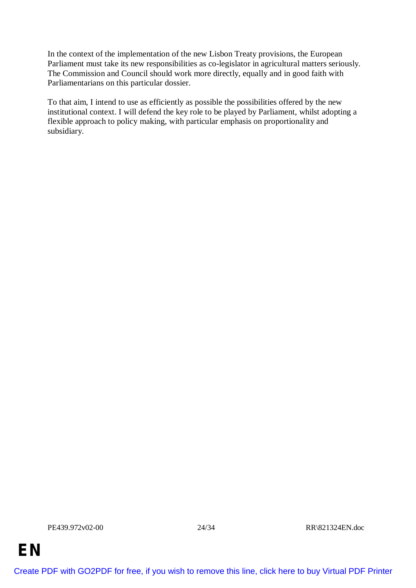In the context of the implementation of the new Lisbon Treaty provisions, the European Parliament must take its new responsibilities as co-legislator in agricultural matters seriously. The Commission and Council should work more directly, equally and in good faith with Parliamentarians on this particular dossier.

To that aim, I intend to use as efficiently as possible the possibilities offered by the new institutional context. I will defend the key role to be played by Parliament, whilst adopting a flexible approach to policy making, with particular emphasis on proportionality and subsidiary.

PE439.972v02-00 24/34 RR\821324EN.doc

**EN**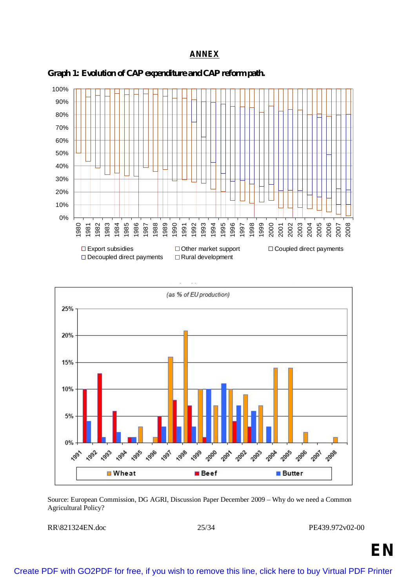#### **ANNEX**







Source: European Commission, DG AGRI, Discussion Paper December 2009 – Why do we need a Common Agricultural Policy?

RR\821324EN.doc 25/34 PE439.972v02-00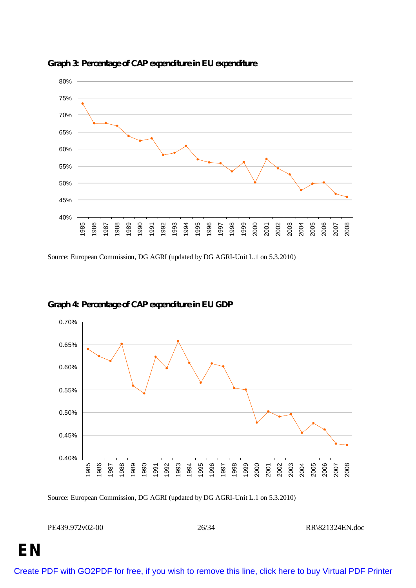

*Graph 3: Percentage of CAP expenditure in EU expenditure*

Source: European Commission, DG AGRI (updated by DG AGRI-Unit L.1 on 5.3.2010)



*Graph 4: Percentage of CAP expenditure in EU GDP*

Source: European Commission, DG AGRI (updated by DG AGRI-Unit L.1 on 5.3.2010)

PE439.972v02-00 26/34 RR\821324EN.doc

# **EN**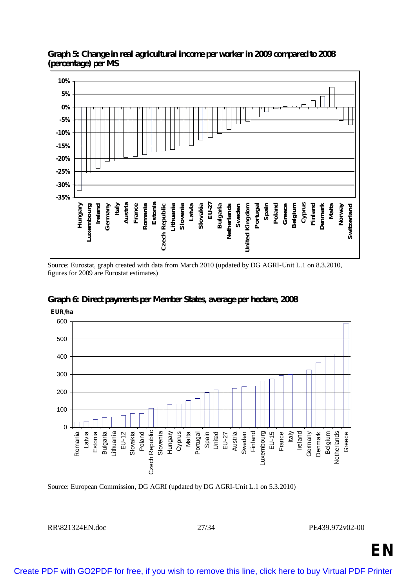

*Graph 5: Change in real agricultural income per worker in 2009 compared to 2008 (percentage) per MS*

Source: Eurostat, graph created with data from March 2010 (updated by DG AGRI-Unit L.1 on 8.3.2010, figures for 2009 are Eurostat estimates)



*Graph 6: Direct payments per Member States, average per hectare, 2008*

Source: European Commission, DG AGRI (updated by DG AGRI-Unit L.1 on 5.3.2010)

RR\821324EN.doc 27/34 PE439.972v02-00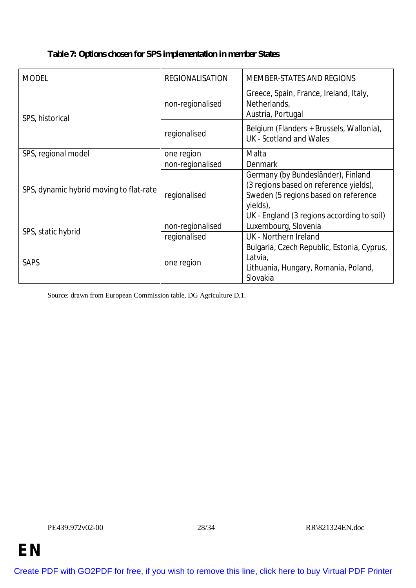# *Table 7: Options chosen for SPS implementation in member States*

| <b>MODEL</b>                            | <b>REGIONALISATION</b>                                                                                                  | MEMBER-STATES AND REGIONS                                                                                                                                                      |
|-----------------------------------------|-------------------------------------------------------------------------------------------------------------------------|--------------------------------------------------------------------------------------------------------------------------------------------------------------------------------|
| SPS, historical                         | non-regionalised                                                                                                        | Greece, Spain, France, Ireland, Italy,<br>Netherlands,<br>Austria, Portugal                                                                                                    |
|                                         | regionalised                                                                                                            | Belgium (Flanders + Brussels, Wallonia),<br>UK - Scotland and Wales                                                                                                            |
| SPS, regional model                     | one region                                                                                                              | Malta                                                                                                                                                                          |
|                                         | non-regionalised                                                                                                        | Denmark                                                                                                                                                                        |
| SPS, dynamic hybrid moving to flat-rate | regionalised                                                                                                            | Germany (by Bundesländer), Finland<br>(3 regions based on reference yields),<br>Sweden (5 regions based on reference<br>yields),<br>UK - England (3 regions according to soil) |
|                                         | non-regionalised                                                                                                        | Luxembourg, Slovenia                                                                                                                                                           |
| SPS, static hybrid                      | regionalised                                                                                                            | UK - Northern Ireland                                                                                                                                                          |
| <b>SAPS</b>                             | Bulgaria, Czech Republic, Estonia, Cyprus,<br>Latvia,<br>one region<br>Lithuania, Hungary, Romania, Poland,<br>Slovakia |                                                                                                                                                                                |

Source: drawn from European Commission table, DG Agriculture D.1.

PE439.972v02-00 28/34 RR\821324EN.doc

**EN**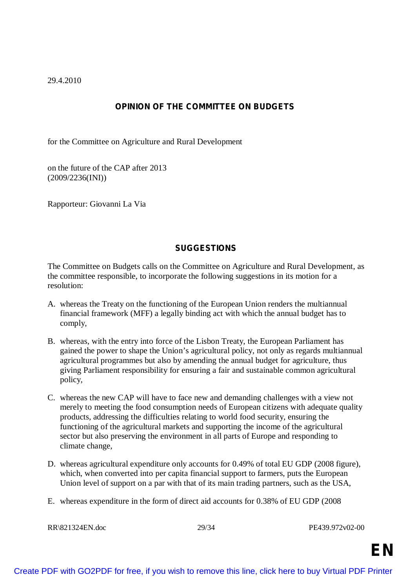29.4.2010

# **OPINION OF THE COMMITTEE ON BUDGETS**

for the Committee on Agriculture and Rural Development

on the future of the CAP after 2013 (2009/2236(INI))

Rapporteur: Giovanni La Via

# **SUGGESTIONS**

The Committee on Budgets calls on the Committee on Agriculture and Rural Development, as the committee responsible, to incorporate the following suggestions in its motion for a resolution:

- A. whereas the Treaty on the functioning of the European Union renders the multiannual financial framework (MFF) a legally binding act with which the annual budget has to comply,
- B. whereas, with the entry into force of the Lisbon Treaty, the European Parliament has gained the power to shape the Union's agricultural policy, not only as regards multiannual agricultural programmes but also by amending the annual budget for agriculture, thus giving Parliament responsibility for ensuring a fair and sustainable common agricultural policy,
- C. whereas the new CAP will have to face new and demanding challenges with a view not merely to meeting the food consumption needs of European citizens with adequate quality products, addressing the difficulties relating to world food security, ensuring the functioning of the agricultural markets and supporting the income of the agricultural sector but also preserving the environment in all parts of Europe and responding to climate change,
- D. whereas agricultural expenditure only accounts for 0.49% of total EU GDP (2008 figure), which, when converted into per capita financial support to farmers, puts the European Union level of support on a par with that of its main trading partners, such as the USA,
- E. whereas expenditure in the form of direct aid accounts for 0.38% of EU GDP (2008

RR\821324EN.doc 29/34 PE439.972v02-00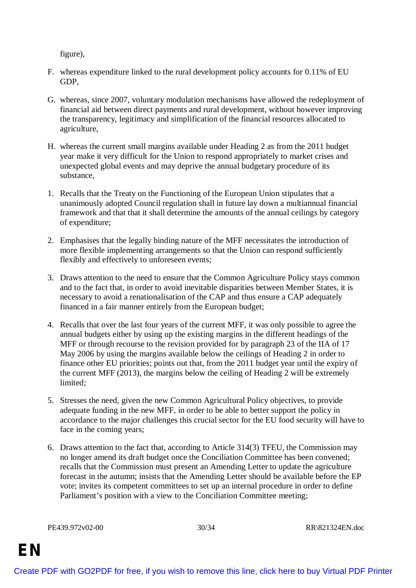figure),

- F. whereas expenditure linked to the rural development policy accounts for 0.11% of EU GDP,
- G. whereas, since 2007, voluntary modulation mechanisms have allowed the redeployment of financial aid between direct payments and rural development, without however improving the transparency, legitimacy and simplification of the financial resources allocated to agriculture,
- H. whereas the current small margins available under Heading 2 as from the 2011 budget year make it very difficult for the Union to respond appropriately to market crises and unexpected global events and may deprive the annual budgetary procedure of its substance,
- 1. Recalls that the Treaty on the Functioning of the European Union stipulates that a unanimously adopted Council regulation shall in future lay down a multiannual financial framework and that that it shall determine the amounts of the annual ceilings by category of expenditure;
- 2. Emphasises that the legally binding nature of the MFF necessitates the introduction of more flexible implementing arrangements so that the Union can respond sufficiently flexibly and effectively to unforeseen events;
- 3. Draws attention to the need to ensure that the Common Agriculture Policy stays common and to the fact that, in order to avoid inevitable disparities between Member States, it is necessary to avoid a renationalisation of the CAP and thus ensure a CAP adequately financed in a fair manner entirely from the European budget;
- 4. Recalls that over the last four years of the current MFF, it was only possible to agree the annual budgets either by using up the existing margins in the different headings of the MFF or through recourse to the revision provided for by paragraph 23 of the IIA of 17 May 2006 by using the margins available below the ceilings of Heading 2 in order to finance other EU priorities; points out that, from the 2011 budget year until the expiry of the current MFF (2013), the margins below the ceiling of Heading 2 will be extremely limited;
- 5. Stresses the need, given the new Common Agricultural Policy objectives, to provide adequate funding in the new MFF, in order to be able to better support the policy in accordance to the major challenges this crucial sector for the EU food security will have to face in the coming years;
- 6. Draws attention to the fact that, according to Article 314(3) TFEU, the Commission may no longer amend its draft budget once the Conciliation Committee has been convened; recalls that the Commission must present an Amending Letter to update the agriculture forecast in the autumn; insists that the Amending Letter should be available before the EP vote; invites its competent committees to set up an internal procedure in order to define Parliament's position with a view to the Conciliation Committee meeting;

**EN**

PE439.972v02-00 30/34 RR\821324EN.doc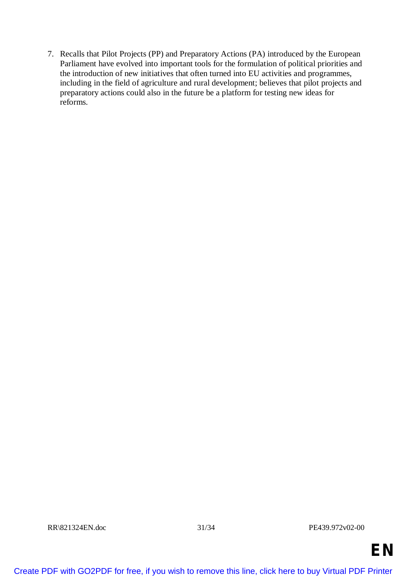7. Recalls that Pilot Projects (PP) and Preparatory Actions (PA) introduced by the European Parliament have evolved into important tools for the formulation of political priorities and the introduction of new initiatives that often turned into EU activities and programmes, including in the field of agriculture and rural development; believes that pilot projects and preparatory actions could also in the future be a platform for testing new ideas for reforms.

RR\821324EN.doc 31/34 PE439.972v02-00

![](_page_30_Picture_4.jpeg)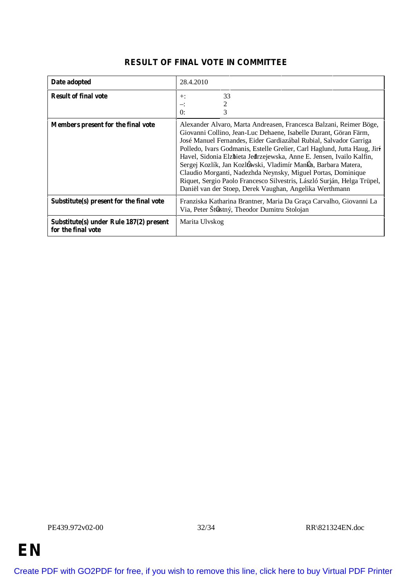| Date adopted                                                    | 28.4.2010                                                                                                                                                                                                                                                                                                                                                                                                                                                                                                                                                                                                                              |  |
|-----------------------------------------------------------------|----------------------------------------------------------------------------------------------------------------------------------------------------------------------------------------------------------------------------------------------------------------------------------------------------------------------------------------------------------------------------------------------------------------------------------------------------------------------------------------------------------------------------------------------------------------------------------------------------------------------------------------|--|
| <b>Result of final vote</b>                                     | 33<br>$+$ :<br>2<br>$-$ :<br>3<br>$\theta$ :                                                                                                                                                                                                                                                                                                                                                                                                                                                                                                                                                                                           |  |
| Members present for the final vote                              | Alexander Alvaro, Marta Andreasen, Francesca Balzani, Reimer Böge,<br>Giovanni Collino, Jean-Luc Dehaene, Isabelle Durant, Göran Färm,<br>José Manuel Fernandes, Eider Gardiazábal Rubial, Salvador Garriga<br>Polledo, Ivars Godmanis, Estelle Grelier, Carl Haglund, Jutta Haug, Jiri<br>Havel, Sidonia Elzbieta Jedrzejewska, Anne E. Jensen, Ivailo Kalfin,<br>Sergej Kozlík, Jan KozlÔwski, Vladimír ManÔa, Barbara Matera,<br>Claudio Morganti, Nadezhda Neynsky, Miguel Portas, Dominique<br>Riquet, Sergio Paolo Francesco Silvestris, László Surján, Helga Trüpel,<br>Daniël van der Stoep, Derek Vaughan, Angelika Werthmann |  |
| Substitute(s) present for the final vote                        | Franziska Katharina Brantner, Maria Da Graça Carvalho, Giovanni La<br>Via, Peter ŠtÖstný, Theodor Dumitru Stolojan                                                                                                                                                                                                                                                                                                                                                                                                                                                                                                                     |  |
| Substitute(s) under Rule $187(2)$ present<br>for the final vote | Marita Ulvskog                                                                                                                                                                                                                                                                                                                                                                                                                                                                                                                                                                                                                         |  |

# **RESULT OF FINAL VOTE IN COMMITTEE**

PE439.972v02-00 32/34 RR\821324EN.doc

**EN**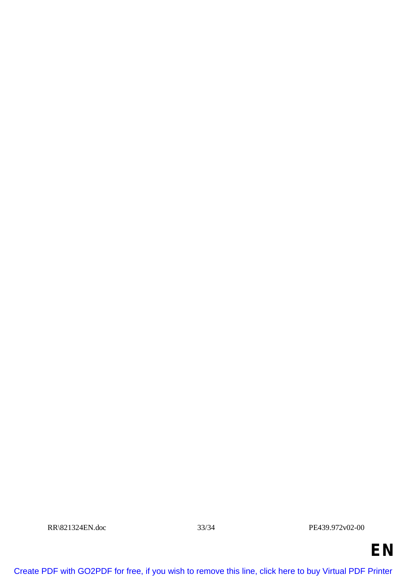RR\821324EN.doc 33/34 PE439.972v02-00